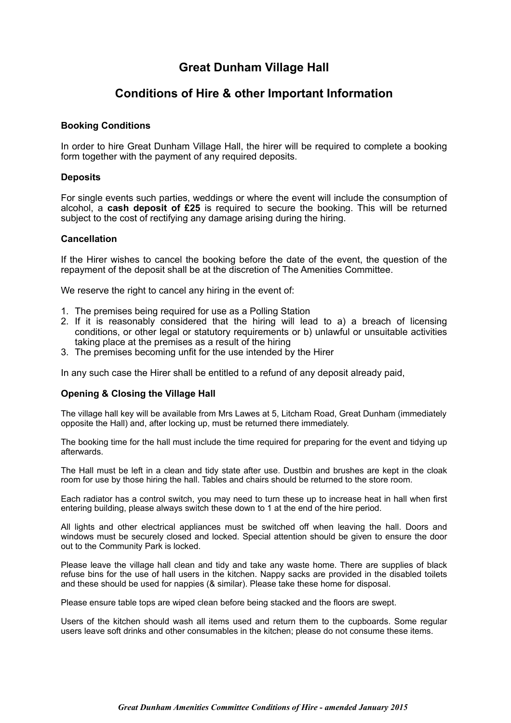# **Great Dunham Village Hall**

## **Conditions of Hire & other Important Information**

## **Booking Conditions**

In order to hire Great Dunham Village Hall, the hirer will be required to complete a booking form together with the payment of any required deposits.

## **Deposits**

For single events such parties, weddings or where the event will include the consumption of alcohol, a **cash deposit of £25** is required to secure the booking. This will be returned subject to the cost of rectifying any damage arising during the hiring.

## **Cancellation**

If the Hirer wishes to cancel the booking before the date of the event, the question of the repayment of the deposit shall be at the discretion of The Amenities Committee.

We reserve the right to cancel any hiring in the event of:

- 1. The premises being required for use as a Polling Station
- 2. If it is reasonably considered that the hiring will lead to a) a breach of licensing conditions, or other legal or statutory requirements or b) unlawful or unsuitable activities taking place at the premises as a result of the hiring
- 3. The premises becoming unfit for the use intended by the Hirer

In any such case the Hirer shall be entitled to a refund of any deposit already paid,

## **Opening & Closing the Village Hall**

The village hall key will be available from Mrs Lawes at 5, Litcham Road, Great Dunham (immediately opposite the Hall) and, after locking up, must be returned there immediately.

The booking time for the hall must include the time required for preparing for the event and tidying up afterwards.

The Hall must be left in a clean and tidy state after use. Dustbin and brushes are kept in the cloak room for use by those hiring the hall. Tables and chairs should be returned to the store room.

Each radiator has a control switch, you may need to turn these up to increase heat in hall when first entering building, please always switch these down to 1 at the end of the hire period.

All lights and other electrical appliances must be switched off when leaving the hall. Doors and windows must be securely closed and locked. Special attention should be given to ensure the door out to the Community Park is locked.

Please leave the village hall clean and tidy and take any waste home. There are supplies of black refuse bins for the use of hall users in the kitchen. Nappy sacks are provided in the disabled toilets and these should be used for nappies (& similar). Please take these home for disposal.

Please ensure table tops are wiped clean before being stacked and the floors are swept.

Users of the kitchen should wash all items used and return them to the cupboards. Some regular users leave soft drinks and other consumables in the kitchen; please do not consume these items.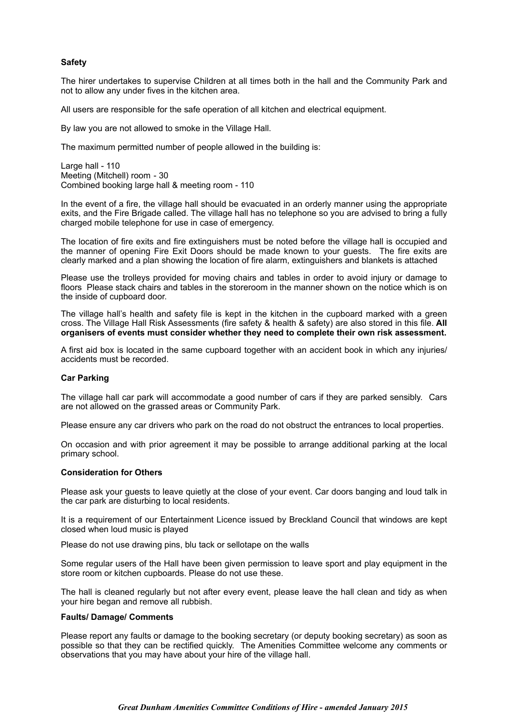#### **Safety**

The hirer undertakes to supervise Children at all times both in the hall and the Community Park and not to allow any under fives in the kitchen area.

All users are responsible for the safe operation of all kitchen and electrical equipment.

By law you are not allowed to smoke in the Village Hall.

The maximum permitted number of people allowed in the building is:

Large hall - 110 Meeting (Mitchell) room - 30 Combined booking large hall & meeting room - 110

In the event of a fire, the village hall should be evacuated in an orderly manner using the appropriate exits, and the Fire Brigade called. The village hall has no telephone so you are advised to bring a fully charged mobile telephone for use in case of emergency.

The location of fire exits and fire extinguishers must be noted before the village hall is occupied and the manner of opening Fire Exit Doors should be made known to your guests. The fire exits are clearly marked and a plan showing the location of fire alarm, extinguishers and blankets is attached

Please use the trolleys provided for moving chairs and tables in order to avoid injury or damage to floors Please stack chairs and tables in the storeroom in the manner shown on the notice which is on the inside of cupboard door.

The village hall's health and safety file is kept in the kitchen in the cupboard marked with a green cross. The Village Hall Risk Assessments (fire safety & health & safety) are also stored in this file. **All organisers of events must consider whether they need to complete their own risk assessment.** 

A first aid box is located in the same cupboard together with an accident book in which any injuries/ accidents must be recorded.

#### **Car Parking**

The village hall car park will accommodate a good number of cars if they are parked sensibly. Cars are not allowed on the grassed areas or Community Park.

Please ensure any car drivers who park on the road do not obstruct the entrances to local properties.

On occasion and with prior agreement it may be possible to arrange additional parking at the local primary school.

#### **Consideration for Others**

Please ask your guests to leave quietly at the close of your event. Car doors banging and loud talk in the car park are disturbing to local residents.

It is a requirement of our Entertainment Licence issued by Breckland Council that windows are kept closed when loud music is played

Please do not use drawing pins, blu tack or sellotape on the walls

Some regular users of the Hall have been given permission to leave sport and play equipment in the store room or kitchen cupboards. Please do not use these.

The hall is cleaned regularly but not after every event, please leave the hall clean and tidy as when your hire began and remove all rubbish.

#### **Faults/ Damage/ Comments**

Please report any faults or damage to the booking secretary (or deputy booking secretary) as soon as possible so that they can be rectified quickly. The Amenities Committee welcome any comments or observations that you may have about your hire of the village hall.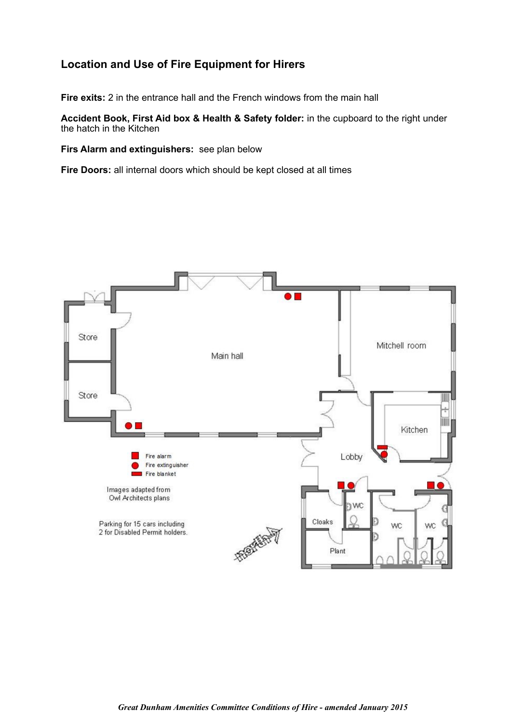# **Location and Use of Fire Equipment for Hirers**

**Fire exits:** 2 in the entrance hall and the French windows from the main hall

**Accident Book, First Aid box & Health & Safety folder:** in the cupboard to the right under the hatch in the Kitchen

**Firs Alarm and extinguishers:** see plan below

**Fire Doors:** all internal doors which should be kept closed at all times